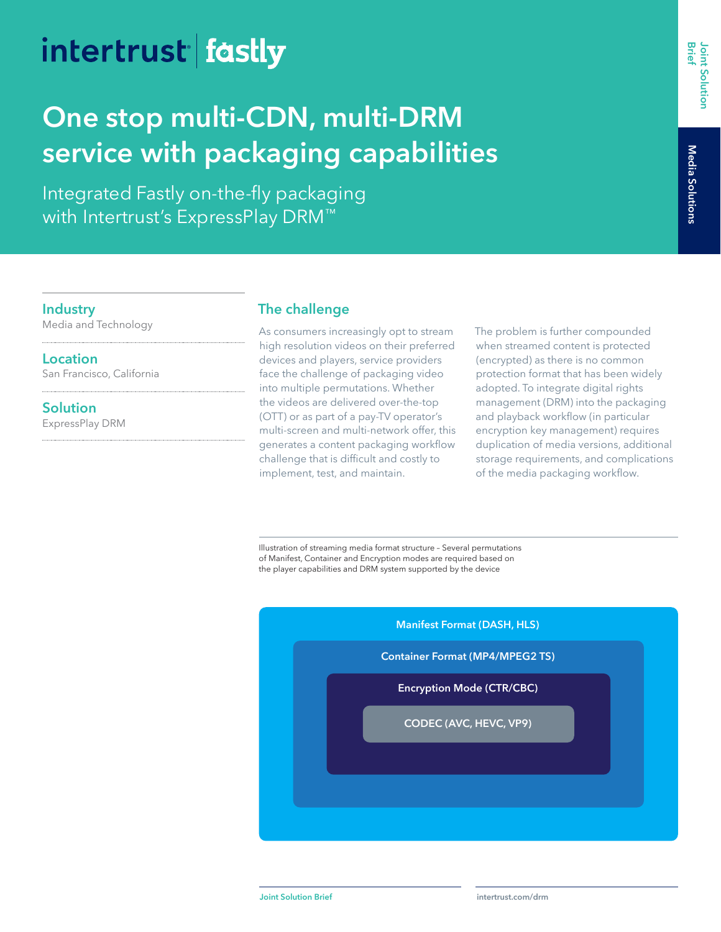# intertrust fastly

## **One stop multi-CDN, multi-DRM service with packaging capabilities**

Integrated Fastly on-the-fly packaging with Intertrust's ExpressPlay DRM™

**Industry**

ì.

Media and Technology

**Location** San Francisco, California

**Solution** ExpressPlay DRM

#### **The challenge**

As consumers increasingly opt to stream high resolution videos on their preferred devices and players, service providers face the challenge of packaging video into multiple permutations. Whether the videos are delivered over-the-top (OTT) or as part of a pay-TV operator's multi-screen and multi-network offer, this generates a content packaging workflow challenge that is difficult and costly to implement, test, and maintain.

The problem is further compounded when streamed content is protected (encrypted) as there is no common protection format that has been widely adopted. To integrate digital rights management (DRM) into the packaging and playback workflow (in particular encryption key management) requires duplication of media versions, additional storage requirements, and complications of the media packaging workflow.

Illustration of streaming media format structure – Several permutations of Manifest, Container and Encryption modes are required based on the player capabilities and DRM system supported by the device

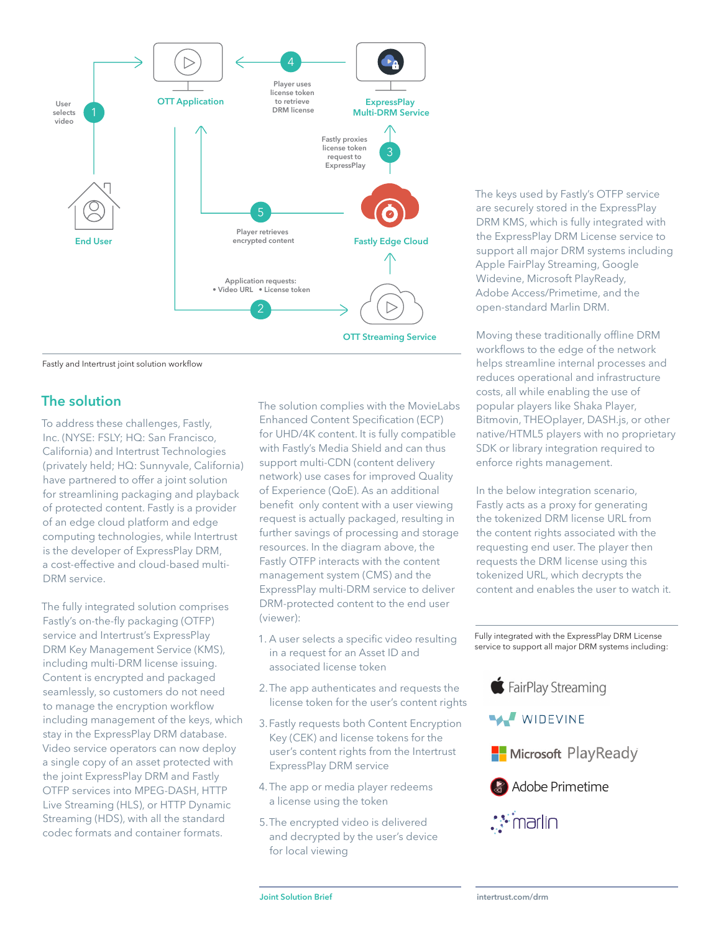

Fastly and Intertrust joint solution workflow

#### **The solution**

To address these challenges, Fastly, Inc. (NYSE: FSLY; HQ: San Francisco, California) and Intertrust Technologies (privately held; HQ: Sunnyvale, California) have partnered to offer a joint solution for streamlining packaging and playback of protected content. Fastly is a provider of an edge cloud platform and edge computing technologies, while Intertrust is the developer of ExpressPlay DRM, a cost-effective and cloud-based multi-DRM service.

The fully integrated solution comprises Fastly's on-the-fly packaging (OTFP) service and Intertrust's ExpressPlay DRM Key Management Service (KMS), including multi-DRM license issuing. Content is encrypted and packaged seamlessly, so customers do not need to manage the encryption workflow including management of the keys, which stay in the ExpressPlay DRM database. Video service operators can now deploy a single copy of an asset protected with the joint ExpressPlay DRM and Fastly OTFP services into MPEG-DASH, HTTP Live Streaming (HLS), or HTTP Dynamic Streaming (HDS), with all the standard codec formats and container formats.

The solution complies with the MovieLabs Enhanced Content Specification (ECP) for UHD/4K content. It is fully compatible with Fastly's Media Shield and can thus support multi-CDN (content delivery network) use cases for improved Quality of Experience (QoE). As an additional benefit only content with a user viewing request is actually packaged, resulting in further savings of processing and storage resources. In the diagram above, the Fastly OTFP interacts with the content management system (CMS) and the ExpressPlay multi-DRM service to deliver DRM-protected content to the end user (viewer):

- 1. A user selects a specific video resulting in a request for an Asset ID and associated license token
- 2.The app authenticates and requests the license token for the user's content rights
- 3.Fastly requests both Content Encryption Key (CEK) and license tokens for the user's content rights from the Intertrust ExpressPlay DRM service
- 4.The app or media player redeems a license using the token
- 5.The encrypted video is delivered and decrypted by the user's device for local viewing

The keys used by Fastly's OTFP service are securely stored in the ExpressPlay DRM KMS, which is fully integrated with the ExpressPlay DRM License service to support all major DRM systems including Apple FairPlay Streaming, Google Widevine, Microsoft PlayReady, Adobe Access/Primetime, and the open-standard Marlin DRM.

Moving these traditionally offline DRM workflows to the edge of the network helps streamline internal processes and reduces operational and infrastructure costs, all while enabling the use of popular players like Shaka Player, Bitmovin, THEOplayer, DASH.js, or other native/HTML5 players with no proprietary SDK or library integration required to enforce rights management.

In the below integration scenario, Fastly acts as a proxy for generating the tokenized DRM license URL from the content rights associated with the requesting end user. The player then requests the DRM license using this tokenized URL, which decrypts the content and enables the user to watch it.

Fully integrated with the ExpressPlay DRM License service to support all major DRM systems including:



**WIDEVINE** 





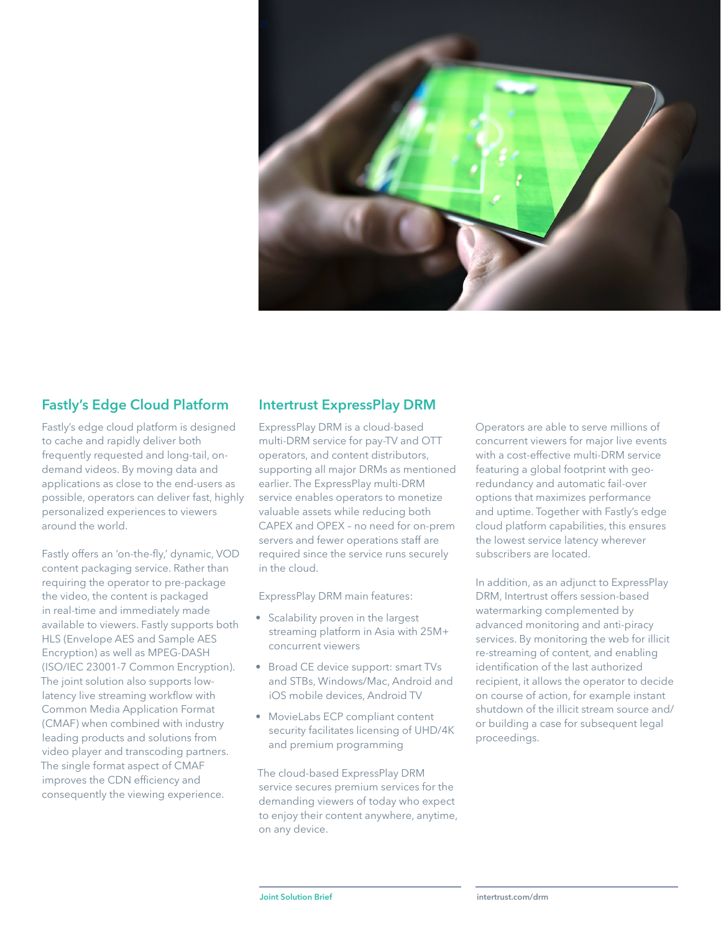

#### **Fastly's Edge Cloud Platform**

Fastly's edge cloud platform is designed to cache and rapidly deliver both frequently requested and long-tail, ondemand videos. By moving data and applications as close to the end-users as possible, operators can deliver fast, highly personalized experiences to viewers around the world.

Fastly offers an 'on-the-fly,' dynamic, VOD content packaging service. Rather than requiring the operator to pre-package the video, the content is packaged in real-time and immediately made available to viewers. Fastly supports both HLS (Envelope AES and Sample AES Encryption) as well as MPEG-DASH (ISO/IEC 23001-7 Common Encryption). The joint solution also supports lowlatency live streaming workflow with Common Media Application Format (CMAF) when combined with industry leading products and solutions from video player and transcoding partners. The single format aspect of CMAF improves the CDN efficiency and consequently the viewing experience.

#### **Intertrust ExpressPlay DRM**

ExpressPlay DRM is a cloud-based multi-DRM service for pay-TV and OTT operators, and content distributors, supporting all major DRMs as mentioned earlier. The ExpressPlay multi-DRM service enables operators to monetize valuable assets while reducing both CAPEX and OPEX – no need for on-prem servers and fewer operations staff are required since the service runs securely in the cloud.

ExpressPlay DRM main features:

- Scalability proven in the largest streaming platform in Asia with 25M+ concurrent viewers
- Broad CE device support: smart TVs and STBs, Windows/Mac, Android and iOS mobile devices, Android TV
- MovieLabs ECP compliant content security facilitates licensing of UHD/4K and premium programming

The cloud-based ExpressPlay DRM service secures premium services for the demanding viewers of today who expect to enjoy their content anywhere, anytime, on any device.

Operators are able to serve millions of concurrent viewers for major live events with a cost-effective multi-DRM service featuring a global footprint with georedundancy and automatic fail-over options that maximizes performance and uptime. Together with Fastly's edge cloud platform capabilities, this ensures the lowest service latency wherever subscribers are located.

In addition, as an adjunct to ExpressPlay DRM, Intertrust offers session-based watermarking complemented by advanced monitoring and anti-piracy services. By monitoring the web for illicit re-streaming of content, and enabling identification of the last authorized recipient, it allows the operator to decide on course of action, for example instant shutdown of the illicit stream source and/ or building a case for subsequent legal proceedings.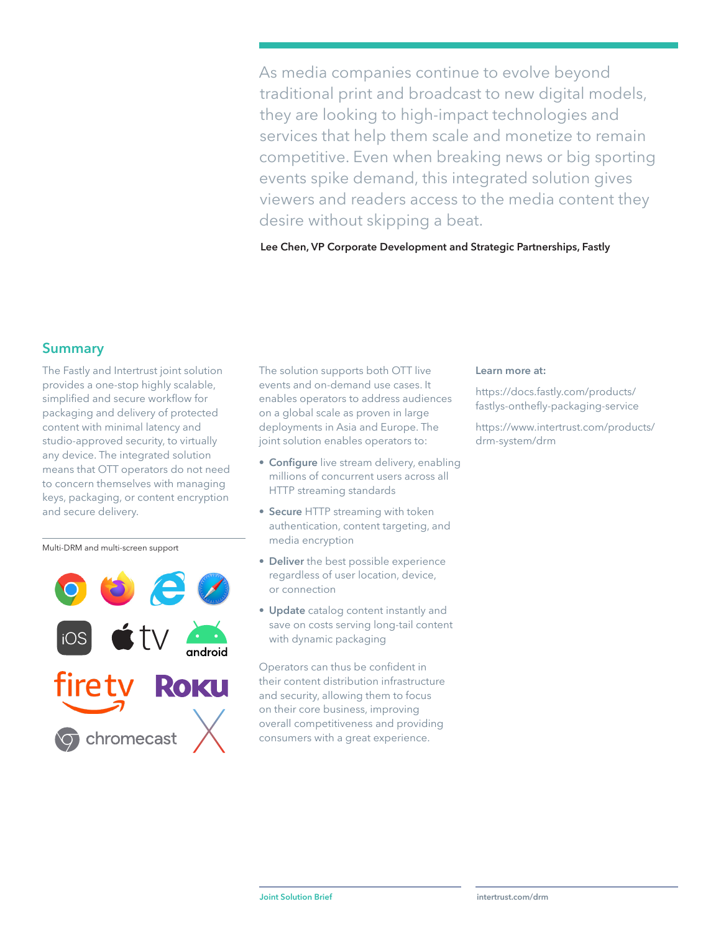As media companies continue to evolve beyond traditional print and broadcast to new digital models, they are looking to high-impact technologies and services that help them scale and monetize to remain competitive. Even when breaking news or big sporting events spike demand, this integrated solution gives viewers and readers access to the media content they desire without skipping a beat.

**Lee Chen, VP Corporate Development and Strategic Partnerships, Fastly**

#### **Summary**

The Fastly and Intertrust joint solution provides a one-stop highly scalable, simplified and secure workflow for packaging and delivery of protected content with minimal latency and studio-approved security, to virtually any device. The integrated solution means that OTT operators do not need to concern themselves with managing keys, packaging, or content encryption and secure delivery.

Multi-DRM and multi-screen support



The solution supports both OTT live events and on-demand use cases. It enables operators to address audiences on a global scale as proven in large deployments in Asia and Europe. The joint solution enables operators to:

- **Configure** live stream delivery, enabling millions of concurrent users across all HTTP streaming standards
- **Secure** HTTP streaming with token authentication, content targeting, and media encryption
- **Deliver** the best possible experience regardless of user location, device, or connection
- **Update** catalog content instantly and save on costs serving long-tail content with dynamic packaging

Operators can thus be confident in their content distribution infrastructure and security, allowing them to focus on their core business, improving overall competitiveness and providing consumers with a great experience.

#### **Learn more at:**

[https://docs.fastly.com/products/](https://docs.fastly.com/products/fastlys-onthefly-packaging-service) [fastlys-onthefly-packaging-service](https://docs.fastly.com/products/fastlys-onthefly-packaging-service)

[https://www.intertrust.com/products/](https://www.intertrust.com/products/drm-system/drm) [drm-system/drm](https://www.intertrust.com/products/drm-system/drm)